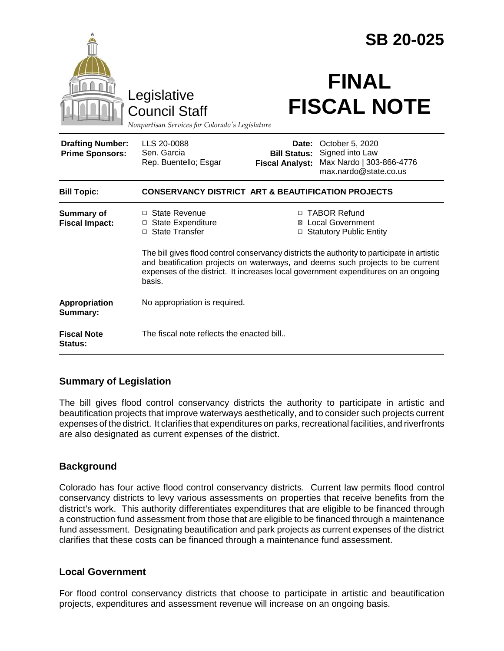|                                                   |                                                                                                                                                                                                                                                                               |                                                        | <b>SB 20-025</b>                                                                        |  |
|---------------------------------------------------|-------------------------------------------------------------------------------------------------------------------------------------------------------------------------------------------------------------------------------------------------------------------------------|--------------------------------------------------------|-----------------------------------------------------------------------------------------|--|
|                                                   | Legislative<br><b>Council Staff</b><br>Nonpartisan Services for Colorado's Legislature                                                                                                                                                                                        |                                                        | <b>FINAL</b><br><b>FISCAL NOTE</b>                                                      |  |
| <b>Drafting Number:</b><br><b>Prime Sponsors:</b> | LLS 20-0088<br>Sen. Garcia<br>Rep. Buentello; Esgar                                                                                                                                                                                                                           | Date:<br><b>Bill Status:</b><br><b>Fiscal Analyst:</b> | October 5, 2020<br>Signed into Law<br>Max Nardo   303-866-4776<br>max.nardo@state.co.us |  |
| <b>Bill Topic:</b>                                | <b>CONSERVANCY DISTRICT ART &amp; BEAUTIFICATION PROJECTS</b>                                                                                                                                                                                                                 |                                                        |                                                                                         |  |
| <b>Summary of</b><br><b>Fiscal Impact:</b>        | □ State Revenue<br>□ State Expenditure<br>□ State Transfer                                                                                                                                                                                                                    |                                                        | □ TABOR Refund<br><b>⊠</b> Local Government<br>□ Statutory Public Entity                |  |
|                                                   | The bill gives flood control conservancy districts the authority to participate in artistic<br>and beatification projects on waterways, and deems such projects to be current<br>expenses of the district. It increases local government expenditures on an ongoing<br>basis. |                                                        |                                                                                         |  |
| Appropriation<br>Summary:                         | No appropriation is required.                                                                                                                                                                                                                                                 |                                                        |                                                                                         |  |
| <b>Fiscal Note</b><br>Status:                     | The fiscal note reflects the enacted bill                                                                                                                                                                                                                                     |                                                        |                                                                                         |  |

# **Summary of Legislation**

The bill gives flood control conservancy districts the authority to participate in artistic and beautification projects that improve waterways aesthetically, and to consider such projects current expenses of the district. It clarifies that expenditures on parks, recreational facilities, and riverfronts are also designated as current expenses of the district.

### **Background**

Colorado has four active flood control conservancy districts. Current law permits flood control conservancy districts to levy various assessments on properties that receive benefits from the district's work. This authority differentiates expenditures that are eligible to be financed through a construction fund assessment from those that are eligible to be financed through a maintenance fund assessment. Designating beautification and park projects as current expenses of the district clarifies that these costs can be financed through a maintenance fund assessment.

### **Local Government**

For flood control conservancy districts that choose to participate in artistic and beautification projects, expenditures and assessment revenue will increase on an ongoing basis.